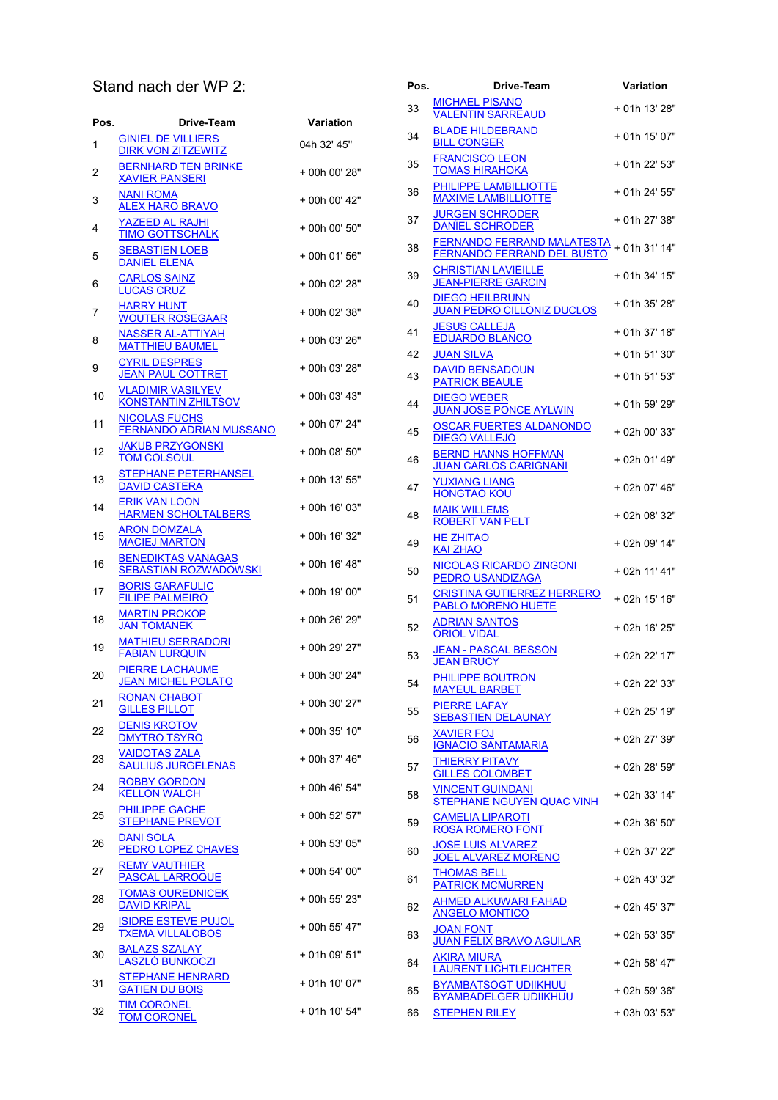## Stand nach der WP 2:

| Pos. | Drive-Team                                                | Variation     |
|------|-----------------------------------------------------------|---------------|
| 1    | <b>GINIEL DE VILLIERS</b><br><b>DIRK VON ZITZEWITZ</b>    | 04h 32' 45"   |
| 2    | <b>BERNHARD TEN BRINKE</b><br><b>XAVIER PANSERI</b>       | + 00h 00' 28" |
| 3    | <b>NANI ROMA</b><br>ALEX HARO BRAVO                       | + 00h 00' 42" |
| 4    | YAZEED AL RAJHI<br><b>TIMO GOTTSCHALK</b>                 | + 00h 00' 50" |
| 5    | <b>SEBASTIEN LOEB</b><br><b>DANIEL ELENA</b>              | + 00h 01' 56" |
| 6    | <b>CARLOS SAINZ</b><br><b>LUCAS CRUZ</b>                  | + 00h 02' 28" |
| 7    | HARRY HUNT<br><b>WOUTER ROSEGAAR</b>                      | + 00h 02' 38" |
| 8    | <b>NASSER AL-ATTIYAH</b><br><b>MATTHIEU BAUMEL</b>        | + 00h 03' 26" |
| 9    | <b>CYRIL DESPRES</b><br><b>JEAN PAUL COTTRET</b>          | + 00h 03' 28" |
| 10   | <b>VLADIMIR VASILYEV</b><br><b>KONSTANTIN ZHILTSOV</b>    | + 00h 03' 43" |
| 11   | <b>NICOLAS FUCHS</b><br><b>FERNANDO ADRIAN MUSSANO</b>    | + 00h 07' 24" |
| 12   | <b>JAKUB PRZYGONSKI</b><br><b>TOM COLSOUL</b>             | + 00h 08' 50" |
| 13   | STEPHANE PETERHANSEL<br><b>DAVID CASTERA</b>              | + 00h 13' 55" |
| 14   | <b>ERIK VAN LOON</b><br><b>HARMEN SCHOLTALBERS</b>        | + 00h 16' 03" |
| 15   | <b>ARON DOMZALA</b><br><b>MACIEJ MARTON</b>               | + 00h 16' 32" |
| 16   | <b>BENEDIKTAS VANAGAS</b><br><b>SEBASTIAN ROZWADOWSKI</b> | + 00h 16' 48" |
| 17   | <b>BORIS GARAFULIC</b><br><b>FILIPE PALMEIRO</b>          | + 00h 19' 00" |
| 18   | <b>MARTIN PROKOP</b><br><b>JAN TOMANEK</b>                | + 00h 26' 29" |
| 19   | <b>MATHIEU SERRADORI</b><br><b>FABIAN LURQUIN</b>         | + 00h 29' 27" |
| 20   | <b>PIERRE LACHAUME</b><br><b>JEAN MICHEL POLATO</b>       | + 00h 30' 24" |
| 21   | <u>RONAN CHABOT</u><br><b>GILLES PILLOT</b>               | + 00h 30' 27" |
| 22   | DENIS KROTOV<br><b>DMYTRO TSYRO</b>                       | + 00h 35' 10" |
| 23   | VAIDOTAS ZALA<br><b>SAULIUS JURGELENAS</b>                | + 00h 37' 46" |
| 24   | ROBBY GORDON<br><b>KELLON WALCH</b>                       | + 00h 46' 54" |
| 25   | <b>PHILIPPE GACHE</b><br><b>STEPHANE PREVOT</b>           | + 00h 52' 57" |
| 26   | DANI SOLA<br><b>PEDRO LOPEZ CHAVES</b>                    | + 00h 53' 05" |
| 27   | <b>REMY VAUTHIER</b><br><b>PASCAL LARROQUE</b>            | + 00h 54' 00" |
| 28   | <b>TOMAS OUREDNICEK</b><br><b>DAVID KRIPAL</b>            | + 00h 55' 23" |
| 29   | <b>ISIDRE ESTEVE PUJOL</b><br><b>TXEMA VILLALOBOS</b>     | + 00h 55' 47" |
| 30   | <b>BALAZS SZALAY</b><br>LASZLÓ BUNKOCZI                   | + 01h 09' 51" |
| 31   | <b>STEPHANE HENRARD</b><br><b>GATIEN DU BOIS</b>          | + 01h 10' 07" |
| 32   | <b>TIM CORONEL</b><br>TOM CORONEL                         | + 01h 10' 54" |

| Pos. | Drive-Team                                                                    | Variation     |
|------|-------------------------------------------------------------------------------|---------------|
| 33   | <b>MICHAEL PISANO</b><br><b>VALENTIN SARREAUD</b>                             | + 01h 13' 28" |
| 34   | <b>BLADE HILDEBRAND</b><br><b>BILL CONGER</b>                                 | + 01h 15' 07" |
| 35   | <b>FRANCISCO LEON</b><br><b>TOMAS HIRAHOKA</b>                                | + 01h 22' 53" |
| 36   | PHILIPPE LAMBILLIOTTE<br><b>MAXIME LAMBILLIOTTE</b>                           | + 01h 24' 55" |
| 37   | <b>JURGEN SCHRODER</b><br><b>DANIEL SCHRODER</b>                              | + 01h 27' 38" |
| 38   | FERNANDO FERRAND MALATESTA + 01h 31' 14"<br><b>FERNANDO FERRAND DEL BUSTO</b> |               |
| 39   | <b>CHRISTIAN LAVIEILLE</b><br><b>JEAN-PIERRE GARCIN</b>                       | + 01h 34' 15" |
| 40   | <b>DIEGO HEILBRUNN</b><br><b>JUAN PEDRO CILLONIZ DUCLOS</b>                   | + 01h 35' 28" |
| 41   | <b>JESUS CALLEJA</b><br><b>EDUARDO BLANCO</b>                                 | + 01h 37' 18" |
| 42   | <b>JUAN SILVA</b>                                                             | + 01h 51' 30" |
| 43   | <b>DAVID BENSADOUN</b>                                                        | + 01h 51' 53" |
|      | <b>PATRICK BEAULE</b><br><b>DIEGO WEBER</b>                                   |               |
| 44   | <b>JUAN JOSE PONCE AYLWIN</b><br><b>OSCAR FUERTES ALDANONDO</b>               | + 01h 59' 29" |
| 45   | <b>DIEGO VALLEJO</b>                                                          | + 02h 00' 33" |
| 46   | <b>BERND HANNS HOFFMAN</b><br><b>JUAN CARLOS CARIGNANI</b>                    | + 02h 01' 49" |
| 47   | <b>YUXIANG LIANG</b><br><b>HONGTAO KOU</b>                                    | + 02h 07' 46" |
| 48   | <b>MAIK WILLEMS</b><br>ROBERT VAN PELT                                        | + 02h 08' 32" |
| 49   | HE ZHITAO<br><b>KAI ZHAO</b>                                                  | + 02h 09' 14" |
| 50   | <b>NICOLAS RICARDO ZINGONI</b><br>PEDRO USANDIZAGA                            | + 02h 11' 41" |
| 51   | <b>CRISTINA GUTIERREZ HERRERO</b><br>PABLO MORENO HUETE                       | + 02h 15' 16" |
| 52   | <b>ADRIAN SANTOS</b><br>ORIOL VIDAL                                           | + 02h 16' 25" |
| 53   | <b>JEAN - PASCAL BESSON</b><br><b>JEAN BRUCY</b>                              | + 02h 22' 17" |
| 54   | PHILIPPE BOUTRON<br><b>MAYEUL BARBET</b>                                      | + 02h 22' 33" |
| 55   | <b>PIERRE LAFAY</b><br><b>SEBASTIEN DELAUNAY</b>                              | + 02h 25' 19" |
| 56   | <b>XAVIER FOJ</b><br><b>IGNACIO SANTAMARIA</b>                                | + 02h 27' 39" |
| 57   | <b>THIERRY PITAVY</b><br><b>GILLES COLOMBET</b>                               | + 02h 28' 59" |
| 58   | <b>VINCENT GUINDANI</b><br>STEPHANE NGUYEN QUAC VINH                          | + 02h 33' 14" |
| 59   | <b>CAMELIA LIPAROTI</b><br><b>ROSA ROMERO FONT</b>                            | + 02h 36' 50" |
| 60   | <b>JOSE LUIS ALVAREZ</b><br><b>JOEL ALVAREZ MORENO</b>                        | + 02h 37' 22" |
| 61   | <b>THOMAS BELL</b><br><b>PATRICK MCMURREN</b>                                 | + 02h 43' 32" |
| 62   | <b>AHMED ALKUWARI FAHAD</b><br><b>ANGELO MONTICO</b>                          | + 02h 45' 37" |
| 63   | <b>JOAN FONT</b><br><b>JUAN FELIX BRAVO AGUILAR</b>                           | + 02h 53' 35" |
| 64   | AKIRA MIURA<br><b>LAURENT LICHTLEUCHTER</b>                                   | + 02h 58' 47" |
| 65   | <b>BYAMBATSOGT UDIIKHUU</b>                                                   | + 02h 59' 36" |
| 66   | <b>BYAMBADELGER UDIIKHUU</b><br><b>STEPHEN RILEY</b>                          | + 03h 03' 53" |
|      |                                                                               |               |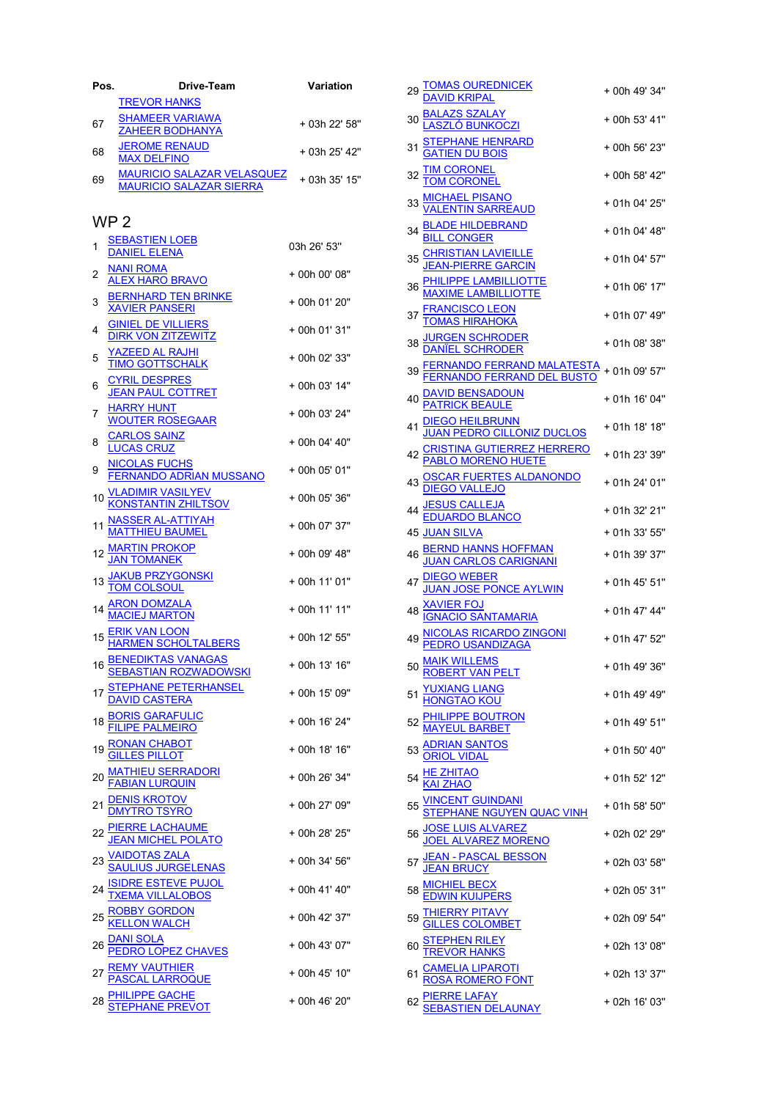| Pos.            | Drive-Team                                                          | Variation     | 29       |
|-----------------|---------------------------------------------------------------------|---------------|----------|
|                 | <b>TREVOR HANKS</b>                                                 |               |          |
| 67              | <b>SHAMEER VARIAWA</b><br><b>ZAHEER BODHANYA</b>                    | + 03h 22' 58" | 30       |
| 68              | <b>JEROME RENAUD</b><br><b>MAX DELFINO</b>                          | + 03h 25' 42" | 31       |
| 69              | <b>MAURICIO SALAZAR VELASQUEZ</b><br><b>MAURICIO SALAZAR SIERRA</b> | + 03h 35' 15" | 32       |
|                 | WP 2                                                                |               | 33       |
| 1               | <b>SEBASTIEN LOEB</b><br><b>DANIEL ELENA</b>                        | 03h 26' 53"   | 34       |
| 2               | <b>NANI ROMA</b><br><b>ALEX HARO BRAVO</b>                          | + 00h 00' 08" | 35       |
| 3               | <b>BERNHARD TEN BRINKE</b><br><b>XAVIER PANSERI</b>                 | + 00h 01' 20" | 36       |
| 4               | <b>GINIEL DE VILLIERS</b><br><b>DIRK VON ZITZEWITZ</b>              | + 00h 01' 31" | 37       |
| 5               | <u>YAZEED AL RAJHI</u><br><b>TIMO GOTTSCHALK</b>                    | + 00h 02' 33" | 38       |
| 6               | <b>CYRIL DESPRES</b><br><b>JEAN PAUL COTTRET</b>                    | + 00h 03' 14" | 39       |
| 7               | <b>HARRY HUNT</b><br><b>WOUTER ROSEGAAR</b>                         | + 00h 03' 24" | 40       |
| 8               | <b>CARLOS SAINZ</b><br><b>LUCAS CRUZ</b>                            | + 00h 04' 40" | 41       |
| 9               | <b>NICOLAS FUCHS</b><br><b>FERNANDO ADRIAN MUSSANO</b>              | + 00h 05' 01" | 42       |
| 10 <sup>°</sup> | <b>VLADIMIR VASILYEV</b><br><b>KONSTANTIN ZHILTSOV</b>              | + 00h 05' 36" | 43       |
| 11              | <b>NASSER AL-ATTIYAH</b><br>MATTHIEU BAUMEL                         | + 00h 07' 37" | 44<br>45 |
|                 | 12 MARTIN PROKOP<br><b>JAN TOMANEK</b>                              | + 00h 09' 48" | 46       |
|                 | <b>JAKUB PRZYGONSKI</b><br><b>M COLSOUL</b>                         | + 00h 11' 01" | 47       |
|                 | <b>ARON DOMZALA</b><br>MACIEJ MARTON                                | + 00h 11' 11" | 48       |
| 15              | <u>ERIK VAN LOON</u><br><b>HARMEN SCHOLTALBERS</b>                  | + 00h 12' 55" | 49       |
|                 | 16 BENEDIKTAS VANAGAS<br><u>SEBASTIAN ROZWADOWSKI</u>               | + 00h 13' 16" | 50       |
|                 | <u>STEPHANE PETERHANSEL</u><br><b>DAVID CASTERA</b>                 | + 00h 15' 09" | 51       |
| 18              | <u>BORIS GARAFULIC</u><br>FILIPE PALMEIRO                           | + 00h 16' 24" | 52       |
| 19              |                                                                     | + 00h 18' 16" | 53       |
| 20              | <u>MATHIEU SERRADORI</u><br>FABIAN LURQUIN                          | + 00h 26' 34" | 54       |
| 21              | <b>DENIS KROTOV</b><br>DMYTRO TSYRO                                 | + 00h 27' 09" | 55       |
| 22              | <b>PIERRE LACHAUME</b><br><u>JEAN MICHEL POLATO</u>                 | + 00h 28' 25" | 56       |
| 23              | <u>VAIDOTAS ZALA</u><br><u>SAULIUS JURGELENAS</u>                   | + 00h 34' 56" | 57       |
| 24              |                                                                     | + 00h 41' 40" | 58       |
|                 | <u>ROBBY GORDON</u><br>KELLON WALCH                                 | + 00h 42' 37" | 59       |
| 26              | DANI SOLA<br>PEDRO LOPEZ CHAVES                                     | + 00h 43' 07" | 60       |
|                 | <b>REMY VAUTHIER<br/>PASCAL LARROQUE</b>                            | + 00h 45' 10" | 61       |
| 28              | <u>PHILIPPE GACHE</u><br>STEPHANE PREVOT                            | + 00h 46' 20" | 62       |

|    |                                                                                                                                                                                                                        | + 00h 49' 34" |  |
|----|------------------------------------------------------------------------------------------------------------------------------------------------------------------------------------------------------------------------|---------------|--|
|    |                                                                                                                                                                                                                        | + 00h 53' 41" |  |
|    | 29 <u>TOMAS OUREDNICEK</u><br><u>DAVID KRIPAL</u><br>30 <u>BALAZS SZALAY</u><br><u>IASZLÓ BUNKOCZI</u><br>31 <u>GATIEN DU BOIS</u><br>THERE HENRARD                                                                    | + 00h 56' 23" |  |
|    | 32 TIM CORONEL<br>TOM CORONEL                                                                                                                                                                                          | + 00h 58' 42" |  |
|    |                                                                                                                                                                                                                        | + 01h 04' 25" |  |
|    |                                                                                                                                                                                                                        | + 01h 04' 48" |  |
|    |                                                                                                                                                                                                                        | + 01h 04' 57" |  |
|    | 33<br><u>MICHAEL PISANO</u><br>34 <u>BLADE HILDEBRAND</u><br>34 <u>BLADE HILDEBRAND</u><br>35 <u>CHRISTIAN LAVIEILLE</u><br>36 <u>JEAN-PIERRE GARCIN</u><br>36 <u>PHILIPPE LAMBILLIOTTE</u><br>70 AMAXIME LAMBILLIOTTE | + 01h 06' 17" |  |
|    | 37 <u>FRANCISCO LEON</u><br><u>TOMAS HIRAHOKA</u>                                                                                                                                                                      | + 01h 07' 49" |  |
|    |                                                                                                                                                                                                                        | + 01h 08' 38" |  |
|    | 38<br><u>DANIEL SCHRODER</u><br>39 <u>FERNANDO FERRAND MALATESTA</u><br>40 <u>DAVID BENSADOUN</u><br>40 <u>DAVID BENSADOUN</u><br><u>PATRICK BEAULE</u>                                                                | + 01h 09' 57" |  |
|    |                                                                                                                                                                                                                        | + 01h 16' 04" |  |
|    | DIEGO HEILBRUNN<br>JUAN PEDRO CILLONIZ DUCLOS<br>CRISTINA GUTIERREZ HERRERO<br>PABLO MORENO HUETE                                                                                                                      | + 01h 18' 18" |  |
| 42 |                                                                                                                                                                                                                        | + 01h 23' 39" |  |
|    | 43<br><u>DIEGO VALLEJO</u><br>44 <u>JESUS CALLEJA</u><br><u>EDUARDO BLANCO</u>                                                                                                                                         | + 01h 24' 01" |  |
|    |                                                                                                                                                                                                                        | + 01h 32' 21" |  |
|    | 45 JUAN SILVA                                                                                                                                                                                                          | + 01h 33' 55" |  |
| 46 |                                                                                                                                                                                                                        | + 01h 39' 37" |  |
| 47 | MERIND HANNS HOFFMAN<br>JUAN CARLOS CARIGNANI<br>DIEGO WEBER<br>JUAN JOSE PONCE AYLWIN<br>XAVIER FOJ<br>IGNACIO SANTAMARIA<br>NICOLAS RIGARES E                                                                        | + 01h 45' 51" |  |
| 48 |                                                                                                                                                                                                                        | + 01h 47' 44" |  |
|    | 49 NICOLAS RICARDO ZINGONI<br>PEDRO USANDIZAGA                                                                                                                                                                         | + 01h 47' 52" |  |
|    | 50 MAIK WILLEMS<br><b>T VAN PELT</b>                                                                                                                                                                                   | + 01h 49' 36" |  |
|    | 51 <u>YUXIANG LIANG</u><br>52 <u>PHILIPPE BOUTRON</u><br>52 <u>MAYEUL BARBET</u><br>53 <u>ADRIAN SANTOS</u><br>0RIOL VIDAL                                                                                             | + 01h 49' 49" |  |
|    |                                                                                                                                                                                                                        | + 01h 49' 51" |  |
|    |                                                                                                                                                                                                                        | + 01h 50' 40" |  |
|    | 54 HE ZHITAO<br>KAI ZHAO                                                                                                                                                                                               | + 01h 52' 12" |  |
|    |                                                                                                                                                                                                                        | + 01h 58' 50" |  |
|    | 55<br>STEPHANE NGUYEN QUAC VINH<br>56 <u>JOSE LUIS ALVAREZ</u><br>57 <u>JOSE LUIS ALVAREZ MORENO</u><br>57 <u>JEAN - PASCAL BESSON</u><br><u>JEAN BRUCY</u>                                                            | + 02h 02' 29" |  |
|    |                                                                                                                                                                                                                        | + 02h 03' 58" |  |
|    | 58 MICHIEL BECX<br>EDWIN KUIJPERS                                                                                                                                                                                      | + 02h 05' 31" |  |
| 59 | <b>THIERRY PITAVY<br/>GILLES COLOMBET</b>                                                                                                                                                                              | + 02h 09' 54" |  |
|    | 60<br>STEPHEN RILEY<br>61 CAMELIA LIPAROTI<br>62 PIERRE LAFAY<br>62 PIERRE LAFAY<br>62 SEBASTIEN DELAUNAY                                                                                                              | + 02h 13' 08" |  |
|    |                                                                                                                                                                                                                        | + 02h 13' 37" |  |
|    |                                                                                                                                                                                                                        | + 02h 16' 03" |  |